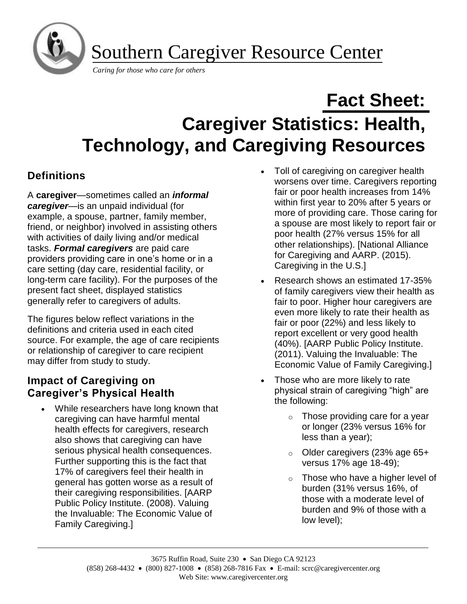

# **Fact Sheet: Caregiver Statistics: Health, Technology, and Caregiving Resources**

## **Definitions**

A **caregiver**—sometimes called an *informal caregiver*—is an unpaid individual (for example, a spouse, partner, family member, friend, or neighbor) involved in assisting others with activities of daily living and/or medical tasks. *Formal caregivers* are paid care providers providing care in one's home or in a care setting (day care, residential facility, or long-term care facility). For the purposes of the present fact sheet, displayed statistics generally refer to caregivers of adults.

The figures below reflect variations in the definitions and criteria used in each cited source. For example, the age of care recipients or relationship of caregiver to care recipient may differ from study to study.

## **Impact of Caregiving on Caregiver's Physical Health**

• While researchers have long known that caregiving can have harmful mental health effects for caregivers, research also shows that caregiving can have serious physical health consequences. Further supporting this is the fact that 17% of caregivers feel their health in general has gotten worse as a result of their caregiving responsibilities. [AARP Public Policy Institute. (2008). Valuing the Invaluable: The Economic Value of Family Caregiving.]

- Toll of caregiving on caregiver health worsens over time. Caregivers reporting fair or poor health increases from 14% within first year to 20% after 5 years or more of providing care. Those caring for a spouse are most likely to report fair or poor health (27% versus 15% for all other relationships). [National Alliance for Caregiving and AARP. (2015). Caregiving in the U.S.]
- Research shows an estimated 17-35% of family caregivers view their health as fair to poor. Higher hour caregivers are even more likely to rate their health as fair or poor (22%) and less likely to report excellent or very good health (40%). [AARP Public Policy Institute. (2011). Valuing the Invaluable: The Economic Value of Family Caregiving.]
- Those who are more likely to rate physical strain of caregiving "high" are the following:
	- $\circ$  Those providing care for a year or longer (23% versus 16% for less than a year);
	- o Older caregivers (23% age 65+ versus 17% age 18-49);
	- o Those who have a higher level of burden (31% versus 16%, of those with a moderate level of burden and 9% of those with a low level);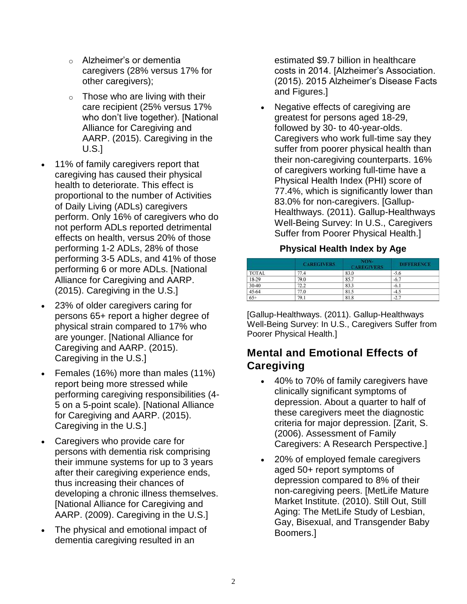- o Alzheimer's or dementia caregivers (28% versus 17% for other caregivers);
- $\circ$  Those who are living with their care recipient (25% versus 17% who don't live together). [National Alliance for Caregiving and AARP. (2015). Caregiving in the U.S.]
- 11% of family caregivers report that caregiving has caused their physical health to deteriorate. This effect is proportional to the number of Activities of Daily Living (ADLs) caregivers perform. Only 16% of caregivers who do not perform ADLs reported detrimental effects on health, versus 20% of those performing 1-2 ADLs, 28% of those performing 3-5 ADLs, and 41% of those performing 6 or more ADLs. [National Alliance for Caregiving and AARP. (2015). Caregiving in the U.S.]
- 23% of older caregivers caring for persons 65+ report a higher degree of physical strain compared to 17% who are younger. [National Alliance for Caregiving and AARP. (2015). Caregiving in the U.S.]
- Females (16%) more than males (11%) report being more stressed while performing caregiving responsibilities (4- 5 on a 5-point scale). [National Alliance for Caregiving and AARP. (2015). Caregiving in the U.S.]
- Caregivers who provide care for persons with dementia risk comprising their immune systems for up to 3 years after their caregiving experience ends, thus increasing their chances of developing a chronic illness themselves. [National Alliance for Caregiving and AARP. (2009). Caregiving in the U.S.]
- The physical and emotional impact of dementia caregiving resulted in an

estimated \$9.7 billion in healthcare costs in 2014. [Alzheimer's Association. (2015). 2015 Alzheimer's Disease Facts and Figures.]

• Negative effects of caregiving are greatest for persons aged 18-29, followed by 30- to 40-year-olds. Caregivers who work full-time say they suffer from poorer physical health than their non-caregiving counterparts. 16% of caregivers working full-time have a Physical Health Index (PHI) score of 77.4%, which is significantly lower than 83.0% for non-caregivers. [Gallup-Healthways. (2011). Gallup-Healthways Well-Being Survey: In U.S., Caregivers Suffer from Poorer Physical Health.]

#### **Physical Health Index by Age**

|              | <b>CAREGIVERS</b> | NON-<br><b>CAREGIVERS</b> | <b>DIFFERENCE</b> |
|--------------|-------------------|---------------------------|-------------------|
| <b>TOTAL</b> | 77.4              | 83.0                      | $-5.6$            |
| 18-29        | 79.0              | 85.7                      | $-6.7$            |
| 30-40        | 72.2              | 83.3                      | $-6.1$            |
| 45-64        | 77.0              | 81.5                      | $-4.5$            |
| $65+$        | 79.1              | 81.8                      | $-2.7$            |

[Gallup-Healthways. (2011). Gallup-Healthways Well-Being Survey: In U.S., Caregivers Suffer from Poorer Physical Health.]

## **Mental and Emotional Effects of Caregiving**

- 40% to 70% of family caregivers have clinically significant symptoms of depression. About a quarter to half of these caregivers meet the diagnostic criteria for major depression. [Zarit, S. (2006). Assessment of Family Caregivers: A Research Perspective.]
- 20% of employed female caregivers aged 50+ report symptoms of depression compared to 8% of their non-caregiving peers. [MetLife Mature Market Institute. (2010). Still Out, Still Aging: The MetLife Study of Lesbian, Gay, Bisexual, and Transgender Baby Boomers.]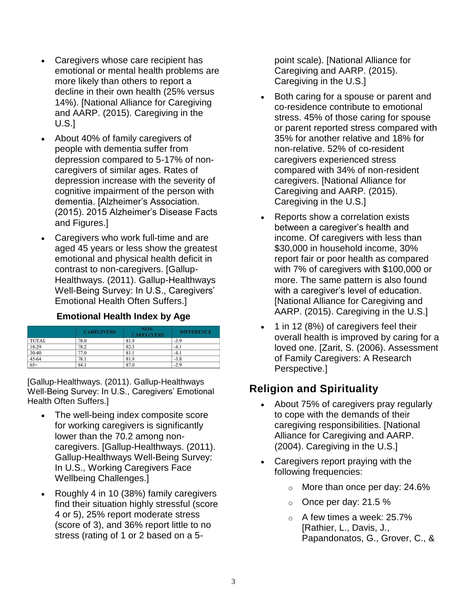- Caregivers whose care recipient has emotional or mental health problems are more likely than others to report a decline in their own health (25% versus 14%). [National Alliance for Caregiving and AARP. (2015). Caregiving in the U.S.]
- About 40% of family caregivers of people with dementia suffer from depression compared to 5-17% of noncaregivers of similar ages. Rates of depression increase with the severity of cognitive impairment of the person with dementia. [Alzheimer's Association. (2015). 2015 Alzheimer's Disease Facts and Figures.]
- Caregivers who work full-time and are aged 45 years or less show the greatest emotional and physical health deficit in contrast to non-caregivers. [Gallup-Healthways. (2011). Gallup-Healthways Well-Being Survey: In U.S., Caregivers' Emotional Health Often Suffers.]

#### **Emotional Health Index by Age**

|              | <b>CAREGIVERS</b> | NON-<br><b>CAREGIVERS</b> | <b>DIFFERENCE</b> |
|--------------|-------------------|---------------------------|-------------------|
| <b>TOTAL</b> | 78.0              | 81.9                      | $-3.9$            |
| 18-29        | 78.2              | 82.3                      | $-4.1$            |
| $30 - 40$    | 77.0              | 81.1                      | $-4.1$            |
| 45-64        | 78.1              | 81.9                      | $-3.8$            |
| $65+$        | 84.1              | 87.0                      | $-2.9$            |

[Gallup-Healthways. (2011). Gallup-Healthways Well-Being Survey: In U.S., Caregivers' Emotional Health Often Suffers.]

- The well-being index composite score for working caregivers is significantly lower than the 70.2 among noncaregivers. [Gallup-Healthways. (2011). Gallup-Healthways Well-Being Survey: In U.S., Working Caregivers Face Wellbeing Challenges.]
- Roughly 4 in 10 (38%) family caregivers find their situation highly stressful (score 4 or 5), 25% report moderate stress (score of 3), and 36% report little to no stress (rating of 1 or 2 based on a 5-

point scale). [National Alliance for Caregiving and AARP. (2015). Caregiving in the U.S.]

- Both caring for a spouse or parent and co-residence contribute to emotional stress. 45% of those caring for spouse or parent reported stress compared with 35% for another relative and 18% for non-relative. 52% of co-resident caregivers experienced stress compared with 34% of non-resident caregivers. [National Alliance for Caregiving and AARP. (2015). Caregiving in the U.S.]
- Reports show a correlation exists between a caregiver's health and income. Of caregivers with less than \$30,000 in household income, 30% report fair or poor health as compared with 7% of caregivers with \$100,000 or more. The same pattern is also found with a caregiver's level of education. [National Alliance for Caregiving and AARP. (2015). Caregiving in the U.S.]
- 1 in 12 (8%) of caregivers feel their overall health is improved by caring for a loved one. [Zarit, S. (2006). Assessment of Family Caregivers: A Research Perspective.]

## **Religion and Spirituality**

- About 75% of caregivers pray regularly to cope with the demands of their caregiving responsibilities. [National Alliance for Caregiving and AARP. (2004). Caregiving in the U.S.]
- Caregivers report praying with the following frequencies:
	- o More than once per day: 24.6%
	- $\circ$  Once per day: 21.5 %
	- $\circ$  A few times a week: 25.7% [Rathier, L., Davis, J., Papandonatos, G., Grover, C., &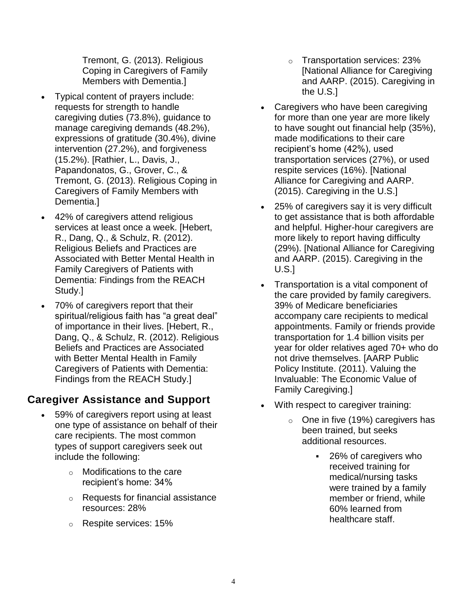Tremont, G. (2013). Religious Coping in Caregivers of Family Members with Dementia.]

- Typical content of prayers include: requests for strength to handle caregiving duties (73.8%), guidance to manage caregiving demands (48.2%), expressions of gratitude (30.4%), divine intervention (27.2%), and forgiveness (15.2%). [Rathier, L., Davis, J., Papandonatos, G., Grover, C., & Tremont, G. (2013). Religious Coping in Caregivers of Family Members with Dementia.]
- 42% of caregivers attend religious services at least once a week. [Hebert, R., Dang, Q., & Schulz, R. (2012). Religious Beliefs and Practices are Associated with Better Mental Health in Family Caregivers of Patients with Dementia: Findings from the REACH Study.]
- 70% of caregivers report that their spiritual/religious faith has "a great deal" of importance in their lives. [Hebert, R., Dang, Q., & Schulz, R. (2012). Religious Beliefs and Practices are Associated with Better Mental Health in Family Caregivers of Patients with Dementia: Findings from the REACH Study.]

## **Caregiver Assistance and Support**

- 59% of caregivers report using at least one type of assistance on behalf of their care recipients. The most common types of support caregivers seek out include the following:
	- o Modifications to the care recipient's home: 34%
	- o Requests for financial assistance resources: 28%
	- o Respite services: 15%
- o Transportation services: 23% [National Alliance for Caregiving and AARP. (2015). Caregiving in the U.S.]
- Caregivers who have been caregiving for more than one year are more likely to have sought out financial help (35%), made modifications to their care recipient's home (42%), used transportation services (27%), or used respite services (16%). [National Alliance for Caregiving and AARP. (2015). Caregiving in the U.S.]
- 25% of caregivers say it is very difficult to get assistance that is both affordable and helpful. Higher-hour caregivers are more likely to report having difficulty (29%). [National Alliance for Caregiving and AARP. (2015). Caregiving in the U.S.]
- Transportation is a vital component of the care provided by family caregivers. 39% of Medicare beneficiaries accompany care recipients to medical appointments. Family or friends provide transportation for 1.4 billion visits per year for older relatives aged 70+ who do not drive themselves. [AARP Public Policy Institute. (2011). Valuing the Invaluable: The Economic Value of Family Caregiving.]
- With respect to caregiver training:
	- o One in five (19%) caregivers has been trained, but seeks additional resources.
		- 26% of caregivers who received training for medical/nursing tasks were trained by a family member or friend, while 60% learned from healthcare staff.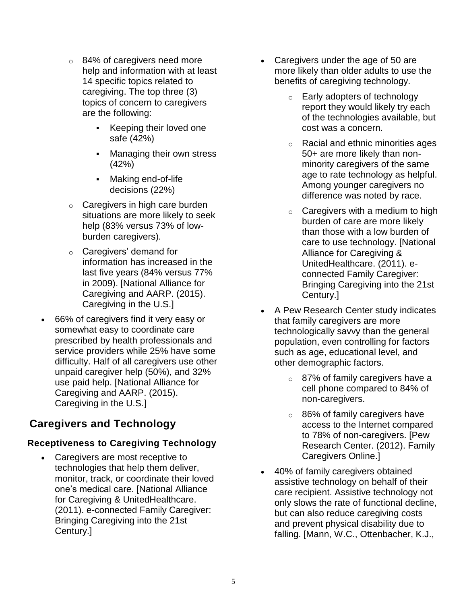- o 84% of caregivers need more help and information with at least 14 specific topics related to caregiving. The top three (3) topics of concern to caregivers are the following:
	- **EXECT** Keeping their loved one safe (42%)
	- **Managing their own stress** (42%)
	- Making end-of-life decisions (22%)
- $\circ$  Caregivers in high care burden situations are more likely to seek help (83% versus 73% of lowburden caregivers).
- o Caregivers' demand for information has increased in the last five years (84% versus 77% in 2009). [National Alliance for Caregiving and AARP. (2015). Caregiving in the U.S.]
- 66% of caregivers find it very easy or somewhat easy to coordinate care prescribed by health professionals and service providers while 25% have some difficulty. Half of all caregivers use other unpaid caregiver help (50%), and 32% use paid help. [National Alliance for Caregiving and AARP. (2015). Caregiving in the U.S.]

## **Caregivers and Technology**

## **Receptiveness to Caregiving Technology**

• Caregivers are most receptive to technologies that help them deliver, monitor, track, or coordinate their loved one's medical care. [National Alliance for Caregiving & UnitedHealthcare. (2011). e-connected Family Caregiver: Bringing Caregiving into the 21st Century.]

- Caregivers under the age of 50 are more likely than older adults to use the benefits of caregiving technology.
	- o Early adopters of technology report they would likely try each of the technologies available, but cost was a concern.
	- o Racial and ethnic minorities ages 50+ are more likely than nonminority caregivers of the same age to rate technology as helpful. Among younger caregivers no difference was noted by race.
	- $\circ$  Caregivers with a medium to high burden of care are more likely than those with a low burden of care to use technology. [National Alliance for Caregiving & UnitedHealthcare. (2011). econnected Family Caregiver: Bringing Caregiving into the 21st Century.]
- A Pew Research Center study indicates that family caregivers are more technologically savvy than the general population, even controlling for factors such as age, educational level, and other demographic factors.
	- o 87% of family caregivers have a cell phone compared to 84% of non-caregivers.
	- o 86% of family caregivers have access to the Internet compared to 78% of non-caregivers. [Pew Research Center. (2012). Family Caregivers Online.]
- 40% of family caregivers obtained assistive technology on behalf of their care recipient. Assistive technology not only slows the rate of functional decline, but can also reduce caregiving costs and prevent physical disability due to falling. [Mann, W.C., Ottenbacher, K.J.,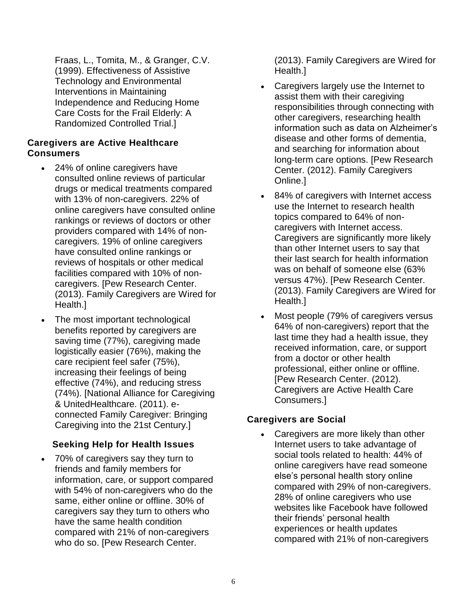Fraas, L., Tomita, M., & Granger, C.V. (1999). Effectiveness of Assistive Technology and Environmental Interventions in Maintaining Independence and Reducing Home Care Costs for the Frail Elderly: A Randomized Controlled Trial.]

#### **Caregivers are Active Healthcare Consumers**

- 24% of online caregivers have consulted online reviews of particular drugs or medical treatments compared with 13% of non-caregivers. 22% of online caregivers have consulted online rankings or reviews of doctors or other providers compared with 14% of noncaregivers. 19% of online caregivers have consulted online rankings or reviews of hospitals or other medical facilities compared with 10% of noncaregivers. [Pew Research Center. (2013). Family Caregivers are Wired for Health.]
- The most important technological benefits reported by caregivers are saving time (77%), caregiving made logistically easier (76%), making the care recipient feel safer (75%), increasing their feelings of being effective (74%), and reducing stress (74%). [National Alliance for Caregiving & UnitedHealthcare. (2011). econnected Family Caregiver: Bringing Caregiving into the 21st Century.]

### **Seeking Help for Health Issues**

• 70% of caregivers say they turn to friends and family members for information, care, or support compared with 54% of non-caregivers who do the same, either online or offline. 30% of caregivers say they turn to others who have the same health condition compared with 21% of non-caregivers who do so. [Pew Research Center.

(2013). Family Caregivers are Wired for Health.]

- Caregivers largely use the Internet to assist them with their caregiving responsibilities through connecting with other caregivers, researching health information such as data on Alzheimer's disease and other forms of dementia, and searching for information about long-term care options. [Pew Research Center. (2012). Family Caregivers Online.]
- 84% of caregivers with Internet access use the Internet to research health topics compared to 64% of noncaregivers with Internet access. Caregivers are significantly more likely than other Internet users to say that their last search for health information was on behalf of someone else (63% versus 47%). [Pew Research Center. (2013). Family Caregivers are Wired for Health.]
- Most people (79% of caregivers versus 64% of non-caregivers) report that the last time they had a health issue, they received information, care, or support from a doctor or other health professional, either online or offline. [Pew Research Center. (2012). Caregivers are Active Health Care Consumers.]

### **Caregivers are Social**

• Caregivers are more likely than other Internet users to take advantage of social tools related to health: 44% of online caregivers have read someone else's personal health story online compared with 29% of non-caregivers. 28% of online caregivers who use websites like Facebook have followed their friends' personal health experiences or health updates compared with 21% of non-caregivers